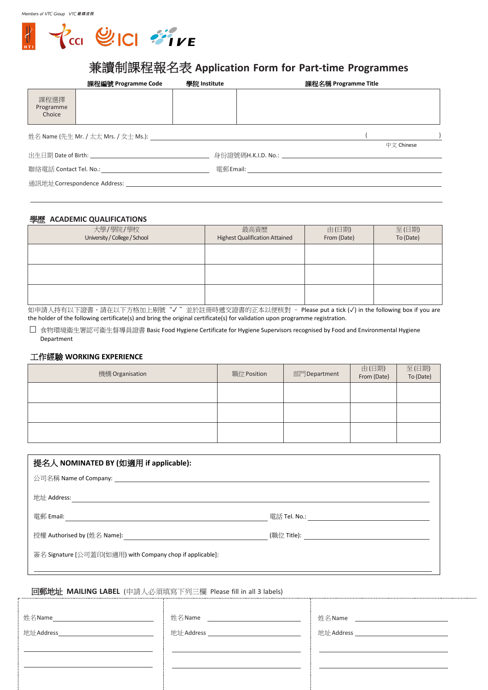

# 兼讀制課程報名表 **Application Form for Part-time Programmes**

|                              | 課程編號 Programme Code    | 學院 Institute | 課程名稱 Programme Title                      |            |  |
|------------------------------|------------------------|--------------|-------------------------------------------|------------|--|
| 課程選擇<br>Programme<br>Choice  |                        |              |                                           |            |  |
|                              |                        |              |                                           |            |  |
|                              |                        |              |                                           | 中文 Chinese |  |
|                              |                        |              |                                           |            |  |
|                              | 聯絡電話 Contact Tel. No.: |              | 電郵 Email: _______________________________ |            |  |
| 通訊地址 Correspondence Address: |                        |              |                                           |            |  |

### 學歷 **ACADEMIC QUALIFICATIONS**

| 大學/學院/學校<br>University / College / School | 最高資歷<br><b>Highest Qualification Attained</b> | 由(日期)<br>From (Date) | 至(日期)<br>To (Date) |  |
|-------------------------------------------|-----------------------------------------------|----------------------|--------------------|--|
|                                           |                                               |                      |                    |  |
|                                           |                                               |                      |                    |  |
|                                           |                                               |                      |                    |  |

如申請人持有以下證書,請在以下方格加上剔號"√"並於註冊時遞交證書的正本以便核對 。 Please put a tick (√) in the following box if you are the holder of the following certificate(s) and bring the original certificate(s) for validation upon programme registration.

食物環境衞生署認可衞生督導員證書 Basic Food Hygiene Certificate for Hygiene Supervisors recognised by Food and Environmental Hygiene Department

### 工作經驗 **WORKING EXPERIENCE**

| 機構 Organisation | 職位 Position | 部門Department | 由(日期)<br>From (Date) | 至(日期)<br>To (Date) |
|-----------------|-------------|--------------|----------------------|--------------------|
|                 |             |              |                      |                    |
|                 |             |              |                      |                    |
|                 |             |              |                      |                    |

| 提名人 NOMINATED BY (如適用 if applicable):                     |  |  |  |
|-----------------------------------------------------------|--|--|--|
|                                                           |  |  |  |
| 地址 Address:                                               |  |  |  |
| 電郵 Email:                                                 |  |  |  |
|                                                           |  |  |  |
| 簽名 Signature [公司蓋印(如適用) with Company chop if applicable]: |  |  |  |
|                                                           |  |  |  |

### 回郵地址 **MAILING LABEL** (申請人必須填寫下列三欄 Please fill in all 3 labels)

姓名Name 姓名Name 地址Address\_\_\_\_\_\_\_\_\_\_\_\_\_\_\_\_\_\_\_\_\_\_\_\_\_\_\_\_\_\_\_\_\_ | 地址Address \_\_ 姓名Name \_ 地址Address